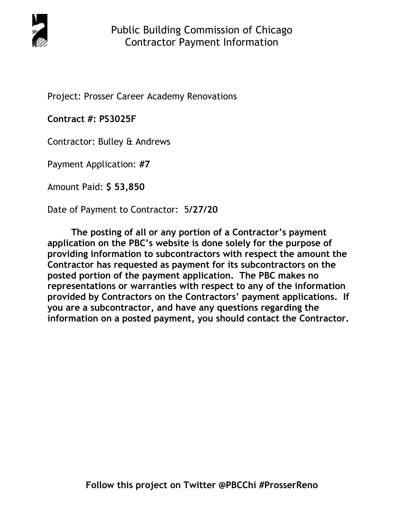

Project: Prosser Career Academy Renovations

**Contract #: PS3025F** 

Contractor: Bulley & Andrews

Payment Application: **#7** 

Amount Paid: **\$ 53,850** 

Date of Payment to Contractor: 5**/27/20** 

**The posting of all or any portion of a Contractor's payment application on the PBC's website is done solely for the purpose of providing information to subcontractors with respect the amount the Contractor has requested as payment for its subcontractors on the posted portion of the payment application. The PBC makes no representations or warranties with respect to any of the information provided by Contractors on the Contractors' payment applications. If you are a subcontractor, and have any questions regarding the information on a posted payment, you should contact the Contractor.**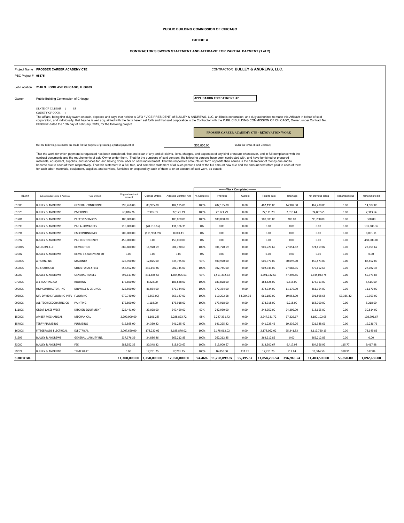# **PUBLIC BUILDING COMMISSION OF CHICAGO**

#### **EXHIBIT A**

#### **CONTRACTOR'S SWORN STATEMENT AND AFFIDAVIT FOR PARTIAL PAYMENT (1 of 2)**

|                     | Project Name PROSSER CAREER ACADEMY CTE                                                                                                                                                                                                                                                                                                                                                                                                   |                                                                                                                                              | CONTRACTOR BULLEY & ANDREWS, LLC. |               |                       |                                                 |                                   |           |               |            |                      |                |                   |
|---------------------|-------------------------------------------------------------------------------------------------------------------------------------------------------------------------------------------------------------------------------------------------------------------------------------------------------------------------------------------------------------------------------------------------------------------------------------------|----------------------------------------------------------------------------------------------------------------------------------------------|-----------------------------------|---------------|-----------------------|-------------------------------------------------|-----------------------------------|-----------|---------------|------------|----------------------|----------------|-------------------|
| PBC Project # 05375 |                                                                                                                                                                                                                                                                                                                                                                                                                                           |                                                                                                                                              |                                   |               |                       |                                                 |                                   |           |               |            |                      |                |                   |
|                     |                                                                                                                                                                                                                                                                                                                                                                                                                                           |                                                                                                                                              |                                   |               |                       |                                                 |                                   |           |               |            |                      |                |                   |
| Job Location        | 2148 N. LONG AVE CHICAGO, IL 60639                                                                                                                                                                                                                                                                                                                                                                                                        |                                                                                                                                              |                                   |               |                       |                                                 |                                   |           |               |            |                      |                |                   |
| Owner               |                                                                                                                                                                                                                                                                                                                                                                                                                                           | Public Building Commission of Chicago                                                                                                        |                                   |               |                       |                                                 | <b>APPLICATION FOR PAYMENT #7</b> |           |               |            |                      |                |                   |
|                     |                                                                                                                                                                                                                                                                                                                                                                                                                                           |                                                                                                                                              |                                   |               |                       |                                                 |                                   |           |               |            |                      |                |                   |
|                     | STATE OF ILLINOIS }<br>-SS<br>COUNTY OF COOK }                                                                                                                                                                                                                                                                                                                                                                                            |                                                                                                                                              |                                   |               |                       |                                                 |                                   |           |               |            |                      |                |                   |
|                     | The affiant, being first duly sworn on oath, deposes and says that he/she is CFO / VICE PRESIDENT, of BULLEY & ANDREWS, LLC, an Illinois corporation, and duly authorized to make this Affidavit in behalf of said<br>corporation, and individually; that he/she is well acquainted with the facts herein set forth and that said corporation is the Contractor with the PUBLIC BUILDING COMMISSION OF CHICAGO, Owner, under Contract No. |                                                                                                                                              |                                   |               |                       |                                                 |                                   |           |               |            |                      |                |                   |
|                     |                                                                                                                                                                                                                                                                                                                                                                                                                                           | PS3025F dated the 13th day of February, 2019, for the following project:                                                                     |                                   |               |                       |                                                 |                                   |           |               |            |                      |                |                   |
|                     |                                                                                                                                                                                                                                                                                                                                                                                                                                           | PROSSER CAREER ACADEMY CTE - RENOVATION WORK                                                                                                 |                                   |               |                       |                                                 |                                   |           |               |            |                      |                |                   |
|                     |                                                                                                                                                                                                                                                                                                                                                                                                                                           |                                                                                                                                              |                                   |               |                       |                                                 |                                   |           |               |            |                      |                |                   |
|                     |                                                                                                                                                                                                                                                                                                                                                                                                                                           | that the following statements are made for the purpose of procuring a partial payment of<br>under the terms of said Contract:<br>\$53,850.00 |                                   |               |                       |                                                 |                                   |           |               |            |                      |                |                   |
|                     | That the work for which payment is requested has been completed, free and clear of any and all claims, liens, charges, and expenses of any kind or nature whatsoever, and in full compliance with the                                                                                                                                                                                                                                     |                                                                                                                                              |                                   |               |                       |                                                 |                                   |           |               |            |                      |                |                   |
|                     | contract documents and the requirements of said Owner under them. That for the purposes of said contract, the following persons have been contracted with, and have furnished or prepared<br>materials, equipment, supplies, and services for, and having done labor on said improvement. That the respective amounts set forth opposite their names is the full amount of money due and to                                               |                                                                                                                                              |                                   |               |                       |                                                 |                                   |           |               |            |                      |                |                   |
|                     | become due to each of them respectively. That this statement is a full, true, and complete statement of all such persons and of the full amount now due and the amount heretofore paid to each of them<br>for such labor, materials, equipment, supplies, and services, furnished or prepared by each of them to or on account of said work, as stated:                                                                                   |                                                                                                                                              |                                   |               |                       |                                                 |                                   |           |               |            |                      |                |                   |
|                     |                                                                                                                                                                                                                                                                                                                                                                                                                                           |                                                                                                                                              |                                   |               |                       |                                                 |                                   |           |               |            |                      |                |                   |
|                     |                                                                                                                                                                                                                                                                                                                                                                                                                                           |                                                                                                                                              |                                   |               |                       |                                                 |                                   |           |               |            |                      |                |                   |
|                     |                                                                                                                                                                                                                                                                                                                                                                                                                                           |                                                                                                                                              |                                   |               |                       | --Work Completed---<br>$\overline{\phantom{a}}$ |                                   |           |               |            |                      |                |                   |
| ITEM#               | Subcontractor Name & Address                                                                                                                                                                                                                                                                                                                                                                                                              | Type of Work                                                                                                                                 | Original contract<br>amount       | Change Orders | Adiusted Contract Amt | % Complete                                      | Previous                          | Current   | Total to date | retainage  | net previous billing | net amount due | remaining to bill |
| 01000               | <b>BULLEY &amp; ANDREWS</b>                                                                                                                                                                                                                                                                                                                                                                                                               | <b>GENERAL CONDITIONS</b>                                                                                                                    | 398,260.00                        | 83,935.00     | 482,195.00            | 100%                                            | 482,195.00                        | 0.00      | 482,195.00    | 14,907.00  | 467,288.00           | 0.00           | 14,907.00         |
| 01520               | <b>BULLEY &amp; ANDREWS</b>                                                                                                                                                                                                                                                                                                                                                                                                               | P&P BOND                                                                                                                                     | 69,816.26                         | 7,305.03      | 77,121.29             | 100%                                            | 77,121.29                         | 0.00      | 77,121.29     | 2,313.64   | 74,807.65            | 0.00           | 2,313.64          |
| 01701               | <b>BULLEY &amp; ANDREWS</b>                                                                                                                                                                                                                                                                                                                                                                                                               | PRECON SERVICES                                                                                                                              | 100,000.00                        |               | 100,000.00            | 100%                                            | 100,000.00                        | 0.00      | 100,000.00    | 300.00     | 99,700.00            | 0.00           | 300.00            |
| 01990               | <b>BULLEY &amp; ANDREWS</b>                                                                                                                                                                                                                                                                                                                                                                                                               | PBC ALLOWANCES                                                                                                                               | 210,000.00                        | (78, 613.65)  | 131,386.35            | 0%                                              | 0.00                              | 0.00      | 0.00          | 0.00       | 0.00                 | 0.00           | 131,386.35        |
| 01991               | <b>BULLEY &amp; ANDREWS</b>                                                                                                                                                                                                                                                                                                                                                                                                               | CM CONTINGENCY                                                                                                                               | 200,000.00                        | (191, 998.89) | 8,001.11              | 0%                                              | 0.00                              | 0.00      | 0.00          | 0.00       | 0.00                 | 0.00           | 8,001.11          |
| 01992               | <b>BULLEY &amp; ANDREWS</b>                                                                                                                                                                                                                                                                                                                                                                                                               | PBC CONTINGENCY                                                                                                                              | 450,000.00                        | 0.00          | 450,000.00            | 0%                                              | 0.00                              | 0.00      | 0.00          | 0.00       | 0.00                 | 0.00           | 450,000.00        |
| 02001S              | MILBURN, LLC                                                                                                                                                                                                                                                                                                                                                                                                                              | DEMOLITION                                                                                                                                   | 889,800.00                        | 11,920.69     | 901,720.69            | 100%                                            | 901,720.69                        | 0.00      | 901,720.69    | 27,051.62  | 874,669.07           | 0.00           | 27,051.62         |
| 02002               | <b>BULLEY &amp; ANDREWS</b>                                                                                                                                                                                                                                                                                                                                                                                                               | DEMO / ABATEMENT OT                                                                                                                          | 0.00                              | 0.00          | 0.00                  | 0%                                              | 0.00                              | 0.00      | 0.00          | 0.00       | 0.00                 | 0.00           | 0.00              |
| 04000S              | A HORN, INC                                                                                                                                                                                                                                                                                                                                                                                                                               | MASONRY                                                                                                                                      | 525,900.00                        | 12,825.00     | 538,725.00            | 93%                                             | 500,970.00                        | 0.00      | 500,970.00    | 50,097.00  | 450,873.00           | 0.00           | 87,852.00         |
| 05000S              | <b>SG KRAUSS CO</b>                                                                                                                                                                                                                                                                                                                                                                                                                       | STRUCTURAL STEEL                                                                                                                             | 657,552.00                        | 245,193.00    | 902,745.00            | 100%                                            | 902,745.00                        | 0.00      | 902,745.00    | 27,082.35  | 875,662.65           | 0.00           | 27,082.35         |
| 06000               | <b>BULLEY &amp; ANDREWS</b>                                                                                                                                                                                                                                                                                                                                                                                                               | <b>GENERAL TRADES</b>                                                                                                                        | 792,117.00                        | 811,888.63    | 1,604,005.63          | 99%                                             | 1,591,332.63                      | 0.00      | 1,591,332.63  | 47,298.85  | 1,544,033.78         | 0.00           | 59,971.85         |
| 07000S              | A-1 ROOFING CO                                                                                                                                                                                                                                                                                                                                                                                                                            | <b>ROOFING</b>                                                                                                                               | 175,600.00                        | 8,228.00      | 183,828.00            | 100%                                            | 183,828.00                        | 0.00      | 183,828.00    | 5,515.00   | 178,313.00           | 0.00           | 5,515.00          |
| 09000S              | H&P CONTRACTOR, INC                                                                                                                                                                                                                                                                                                                                                                                                                       | DRYWALL & CEILINGS                                                                                                                           | 325,500.00                        | 46,834.00     | 372,334.00            | 100%                                            | 372,334.00                        | 0.00      | 372,334.00    | 11,170.00  | 361,164.00           | 0.00           | 11,170.00         |
| 09600S              | MR. DAVID'S FLOORING INT'L                                                                                                                                                                                                                                                                                                                                                                                                                | <b>FLOORING</b>                                                                                                                              | 670,740.00                        | (5,553.00)    | 665,187.00            | 100%                                            | 610,202.68                        | 54,984.32 | 665,187.00    | 19,953.00  | 591,898.68           | 53,335.32      | 19,953.00         |
| 09900S              | ALL-TECH DECORATING CO                                                                                                                                                                                                                                                                                                                                                                                                                    | PAINTING                                                                                                                                     | 172,800.00                        | 1,118.00      | 173,918.00            | 100%                                            | 173,918.00                        | 0.00      | 173,918.00    | 5,218.00   | 168,700.00           | 0.00           | 5,218.00          |
| 11100S              | <b>GREAT LAKES WEST</b>                                                                                                                                                                                                                                                                                                                                                                                                                   | KITCHEN EQUIPMENT                                                                                                                            | 226,441.00                        | 23,028.00     | 249,469.00            | 97%                                             | 242,950.00                        | 0.00      | 242,950.00    | 24,295.00  | 218,655.00           | 0.00           | 30,814.00         |
| 15000S              | AMBER MECHANICAL                                                                                                                                                                                                                                                                                                                                                                                                                          | MECHANICAL                                                                                                                                   | 2,290,000.00                      | (1, 106.28)   | 2,288,893.72          | 98%                                             | 2,247,331.72                      | 0.00      | 2,247,331.72  | 67,229.67  | 2,180,102.05         | 0.00           | 108,791.67        |
| 15400S              | TERRY PLUMBING                                                                                                                                                                                                                                                                                                                                                                                                                            | PLUMBING                                                                                                                                     | 616,895.00                        | 24,330.42     | 641,225.42            | 100%                                            | 641,225.42                        | 0.00      | 641,225.42    | 19,236.76  | 621,988.66           | 0.00           | 19,236.76         |
| 16000S              | FITZGERALDS ELECTRICAL                                                                                                                                                                                                                                                                                                                                                                                                                    | ELECTRICAL                                                                                                                                   | 2,007,650.00                      | 178,220.02    | 2,185,870.02          | 100%                                            | 2,178,062.02                      | 0.00      | 2,178,062.02  | 65,341.83  | 2,112,720.19         | 0.00           | 73,149.83         |
| 81999               | <b>BULLEY &amp; ANDREWS</b>                                                                                                                                                                                                                                                                                                                                                                                                               | <b>GENERAL LIABILITY INS.</b>                                                                                                                | 237,376.39                        | 24,836.46     | 262,212.85            | 100%                                            | 262,212.85                        | 0.00      | 262,212.85    | 0.00       | 262,212.85           | 0.00           | 0.00              |
| 83000               | <b>BULLEY &amp; ANDREWS</b>                                                                                                                                                                                                                                                                                                                                                                                                               | FEE                                                                                                                                          | 283,552.35                        | 30,348.32     | 313,900.67            | 100%                                            | 313,900.67                        | 0.00      | 313,900.67    | 9,417.98   | 304,366.92           | 115.77         | 9,417.98          |
| 99024               | <b>BULLEY &amp; ANDREWS</b>                                                                                                                                                                                                                                                                                                                                                                                                               | <b>TEMP HEAT</b>                                                                                                                             | 0.00                              | 17,261.25     | 17,261.25             | 100%                                            | 16,850.00                         | 411.25    | 17,261.25     | 517.84     | 16,344.50            | 398.91         | 517.84            |
| <b>SUBTOTAL</b>     |                                                                                                                                                                                                                                                                                                                                                                                                                                           |                                                                                                                                              | 11,300,000.00                     | 1.250.000.00  | 12,550,000.00         | 94.46%                                          | 11,798,899.97                     | 55,395.57 | 11,854,295.54 | 396,945.54 | 11,403,500.00        | 53,850.00      | 1,092,650.00      |